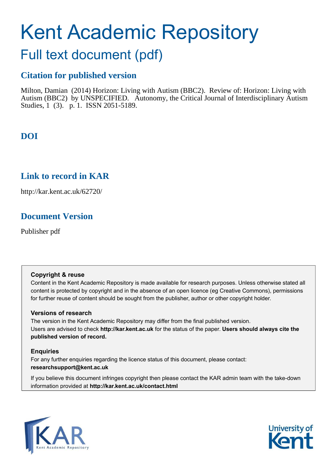# Kent Academic Repository

## Full text document (pdf)

### **Citation for published version**

Milton, Damian (2014) Horizon: Living with Autism (BBC2). Review of: Horizon: Living with Autism (BBC2) by UNSPECIFIED. Autonomy, the Critical Journal of Interdisciplinary Autism Studies, 1 (3). p. 1. ISSN 2051-5189.

## **DOI**

## **Link to record in KAR**

http://kar.kent.ac.uk/62720/

## **Document Version**

Publisher pdf

#### **Copyright & reuse**

Content in the Kent Academic Repository is made available for research purposes. Unless otherwise stated all content is protected by copyright and in the absence of an open licence (eg Creative Commons), permissions for further reuse of content should be sought from the publisher, author or other copyright holder.

#### **Versions of research**

The version in the Kent Academic Repository may differ from the final published version. Users are advised to check **http://kar.kent.ac.uk** for the status of the paper. **Users should always cite the published version of record.**

#### **Enquiries**

For any further enquiries regarding the licence status of this document, please contact: **researchsupport@kent.ac.uk**

If you believe this document infringes copyright then please contact the KAR admin team with the take-down information provided at **http://kar.kent.ac.uk/contact.html**



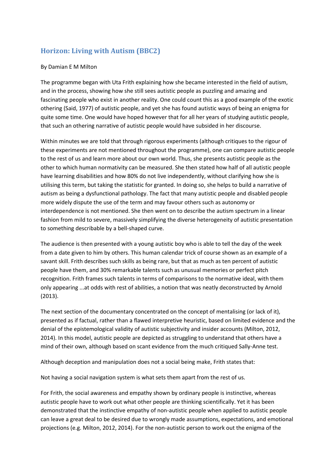#### **Horizon: Living with Autism (BBC2)**

#### By Damian E M Milton

The programme began with Uta Frith explaining how she became interested in the field of autism, and in the process, showing how she still sees autistic people as puzzling and amazing and fascinating people who exist in another reality. One could count this as a good example of the exotic othering (Said, 1977) of autistic people, and yet she has found autistic ways of being an enigma for quite some time. One would have hoped however that for all her years of studying autistic people, that such an othering narrative of autistic people would have subsided in her discourse.

Within minutes we are told that through rigorous experiments (although critiques to the rigour of these experiments are not mentioned throughout the programme), one can compare autistic people to the rest of us and learn more about our own world. Thus, she presents autistic people as the other to which human normativity can be measured. She then stated how half of all autistic people have learning disabilities and how 80% do not live independently, without clarifying how she is utilising this term, but taking the statistic for granted. In doing so, she helps to build a narrative of autism as being a dysfunctional pathology. The fact that many autistic people and disabled people more widely dispute the use of the term and may favour others such as autonomy or interdependence is not mentioned. She then went on to describe the autism spectrum in a linear fashion from mild to severe, massively simplifying the diverse heterogeneity of autistic presentation to something describable by a bell-shaped curve.

The audience is then presented with a young autistic boy who is able to tell the day of the week from a date given to him by others. This human calendar trick of course shown as an example of a savant skill. Frith describes such skills as being rare, but that as much as ten percent of autistic people have them, and 30% remarkable talents such as unusual memories or perfect pitch recognition. Frith frames such talents in terms of comparisons to the normative ideal, with them only appearing ...at odds with rest of abilities, a notion that was neatly deconstructed by Arnold (2013).

The next section of the documentary concentrated on the concept of mentalising (or lack of it), presented as if factual, rather than a flawed interpretive heuristic, based on limited evidence and the denial of the epistemological validity of autistic subjectivity and insider accounts (Milton, 2012, 2014). In this model, autistic people are depicted as struggling to understand that others have a mind of their own, although based on scant evidence from the much critiqued Sally-Anne test.

Although deception and manipulation does not a social being make, Frith states that:

Not having a social navigation system is what sets them apart from the rest of us.

For Frith, the social awareness and empathy shown by ordinary people is instinctive, whereas autistic people have to work out what other people are thinking scientifically. Yet it has been demonstrated that the instinctive empathy of non-autistic people when applied to autistic people can leave a great deal to be desired due to wrongly made assumptions, expectations, and emotional projections (e.g. Milton, 2012, 2014). For the non-autistic person to work out the enigma of the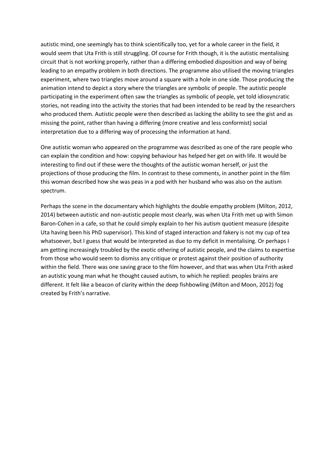autistic mind, one seemingly has to think scientifically too, yet for a whole career in the field, it would seem that Uta Frith is still struggling. Of course for Frith though, it is the autistic mentalising circuit that is not working properly, rather than a differing embodied disposition and way of being leading to an empathy problem in both directions. The programme also utilised the moving triangles experiment, where two triangles move around a square with a hole in one side. Those producing the animation intend to depict a story where the triangles are symbolic of people. The autistic people participating in the experiment often saw the triangles as symbolic of people, yet told idiosyncratic stories, not reading into the activity the stories that had been intended to be read by the researchers who produced them. Autistic people were then described as lacking the ability to see the gist and as missing the point, rather than having a differing (more creative and less conformist) social interpretation due to a differing way of processing the information at hand.

One autistic woman who appeared on the programme was described as one of the rare people who can explain the condition and how: copying behaviour has helped her get on with life. It would be interesting to find out if these were the thoughts of the autistic woman herself, or just the projections of those producing the film. In contrast to these comments, in another point in the film this woman described how she was peas in a pod with her husband who was also on the autism spectrum.

Perhaps the scene in the documentary which highlights the double empathy problem (Milton, 2012, 2014) between autistic and non-autistic people most clearly, was when Uta Frith met up with Simon Baron-Cohen in a cafe, so that he could simply explain to her his autism quotient measure (despite Uta having been his PhD supervisor). This kind of staged interaction and fakery is not my cup of tea whatsoever, but I guess that would be interpreted as due to my deficit in mentalising. Or perhaps I am getting increasingly troubled by the exotic othering of autistic people, and the claims to expertise from those who would seem to dismiss any critique or protest against their position of authority within the field. There was one saving grace to the film however, and that was when Uta Frith asked an autistic young man what he thought caused autism, to which he replied: peoples brains are different. It felt like a beacon of clarity within the deep fishbowling (Milton and Moon, 2012) fog created by Frith's narrative.